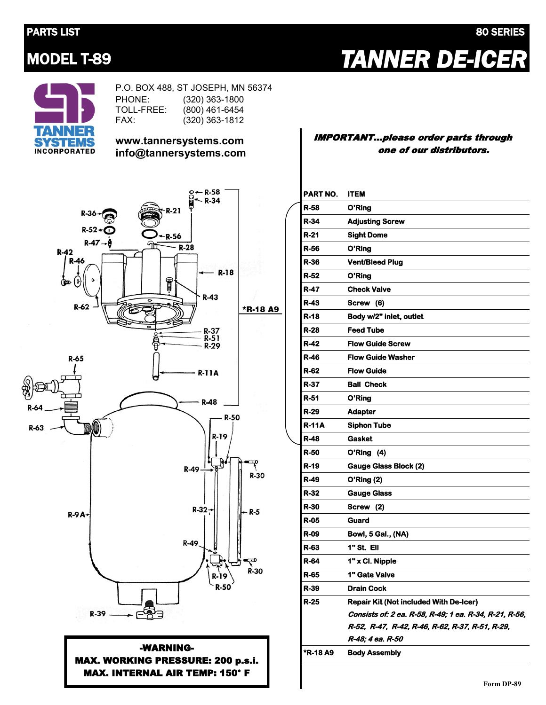#### PARTS LIST 80 SERIES

# MODEL T-89 *TANNER DE-ICER*



P.O. BOX 488, ST JOSEPH, MN 56374 PHONE: TOLL-FREE: FAX: (320) 363-1800 (800) 461-6454 (320) 363-1812

#### **www.tannersystems.com info@tannersystems.com**



#### -WARNING-MAX. WORKING PRESSURE: 200 p.s.i. MAX. INTERNAL AIR TEMP: 150° F

#### IMPORTANT...please order parts through one of our distributors.

### **PART NO. ITEM R-58 O'Ring R-34 Adjusting Screw R-21 Sight Dome R-56 O'Ring R-36 Vent/Bleed Plug R-52 O'Ring R-47 Check Valve R-43 Screw (6) R-18 Body w/2" inlet, outlet R-28 Feed Tube R-42 Flow Guide Screw R-46 Flow Guide Washer R-62 Flow Guide R-37 Ball Check R-51 O'Ring R-29 Adapter R-11A Siphon Tube R-48 Gasket R-50 O'Ring (4) R-19 Gauge Glass Block (2) R-49 O'Ring (2) R-32 Gauge Glass R-30 Screw (2) R-05 Guard R-09 Bowl, 5 Gal., (NA) R-63 1" St. Ell R-64 1" x Cl. Nipple R-65 1" Gate Valve R-39 Drain Cock R-25 Repair Kit (Not included With De-Icer) Consists of: 2 ea. R-58, R-49; 1 ea. R-34, R-21, R-56, R-52, R-47, R-42, R-46, R-62, R-37, R-51, R-29, R-48; 4 ea. R-50 \*R-18 A9 Body Assembly**